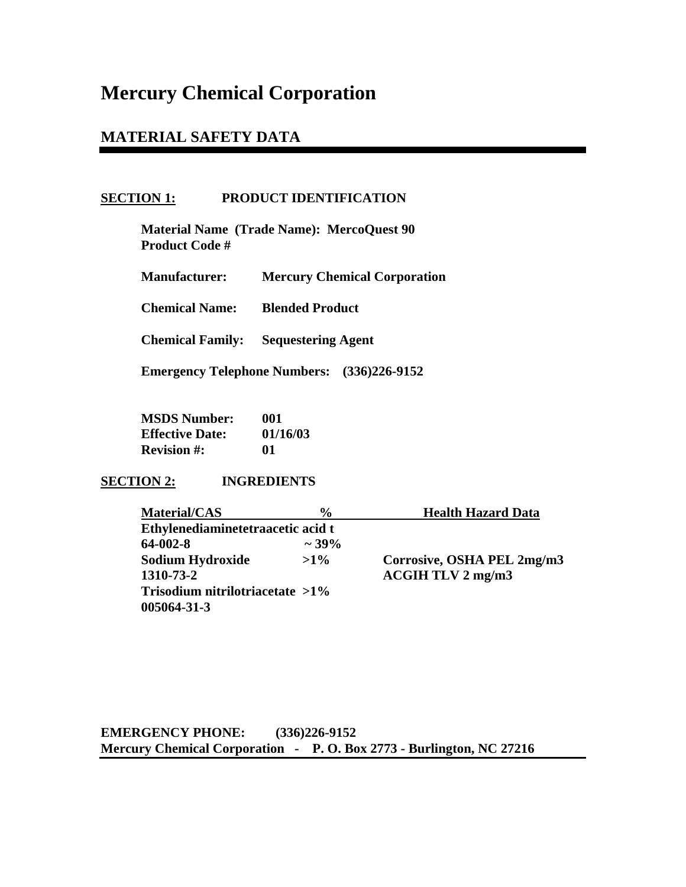# **Mercury Chemical Corporation**

# **MATERIAL SAFETY DATA**

# **SECTION 1: PRODUCT IDENTIFICATION**

 **Material Name (Trade Name): MercoQuest 90 Product Code #** 

 **Manufacturer: Mercury Chemical Corporation** 

 **Chemical Name: Blended Product** 

**Chemical Family: Sequestering Agent** 

**Emergency Telephone Numbers: (336)226-9152** 

 **MSDS Number: 001 Effective Date: 01/16/03 Revision #: 01** 

# **SECTION 2: INGREDIENTS**

| <b>Material/CAS</b>                | $\frac{6}{9}$ | <b>Health Hazard Data</b>  |
|------------------------------------|---------------|----------------------------|
| Ethylenediaminetetraacetic acid t  |               |                            |
| 64-002-8                           | $\sim$ 39%    |                            |
| <b>Sodium Hydroxide</b>            | $>1\%$        | Corrosive, OSHA PEL 2mg/m3 |
| 1310-73-2                          |               | ACGIH TLV 2 mg/m3          |
| Trisodium nitrilotriacetate $>1\%$ |               |                            |
| 005064-31-3                        |               |                            |

**EMERGENCY PHONE: (336)226-9152 Mercury Chemical Corporation - P. O. Box 2773 - Burlington, NC 27216**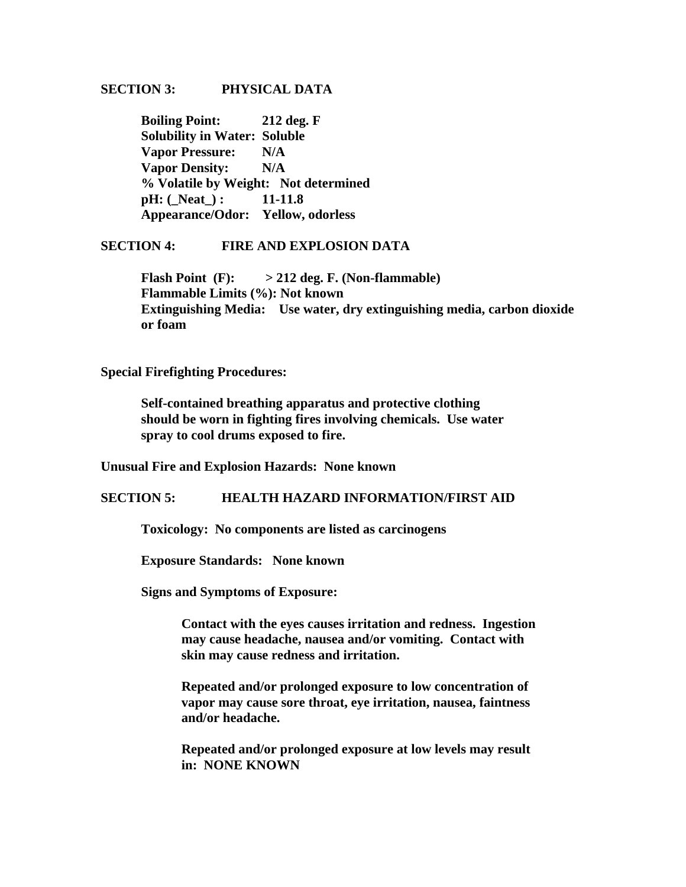#### **SECTION 3: PHYSICAL DATA**

 **Boiling Point: 212 deg. F Solubility in Water: Soluble Vapor Pressure: N/A Vapor Density: N/A % Volatile by Weight: Not determined**  *pH***:** (Neat) : 11-11.8  **Appearance/Odor: Yellow, odorless** 

#### **SECTION 4: FIRE AND EXPLOSION DATA**

 **Flash Point (F): > 212 deg. F. (Non-flammable) Flammable Limits (%): Not known Extinguishing Media: Use water, dry extinguishing media, carbon dioxide or foam** 

#### **Special Firefighting Procedures:**

**Self-contained breathing apparatus and protective clothing should be worn in fighting fires involving chemicals. Use water spray to cool drums exposed to fire.** 

**Unusual Fire and Explosion Hazards: None known** 

#### **SECTION 5: HEALTH HAZARD INFORMATION/FIRST AID**

 **Toxicology: No components are listed as carcinogens** 

 **Exposure Standards: None known** 

**Signs and Symptoms of Exposure:** 

 **Contact with the eyes causes irritation and redness. Ingestion may cause headache, nausea and/or vomiting. Contact with skin may cause redness and irritation.** 

 **Repeated and/or prolonged exposure to low concentration of vapor may cause sore throat, eye irritation, nausea, faintness and/or headache.** 

 **Repeated and/or prolonged exposure at low levels may result in: NONE KNOWN**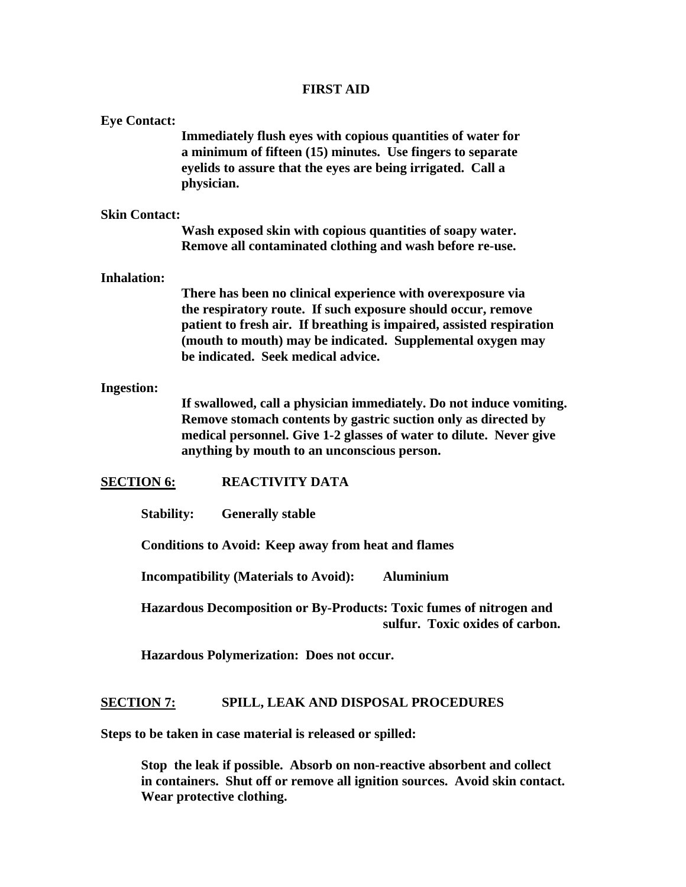# **FIRST AID**

| <b>Eye Contact:</b>                                              | Immediately flush eyes with copious quantities of water for<br>a minimum of fifteen (15) minutes. Use fingers to separate<br>eyelids to assure that the eyes are being irrigated. Call a<br>physician.                                                                                                  |  |  |
|------------------------------------------------------------------|---------------------------------------------------------------------------------------------------------------------------------------------------------------------------------------------------------------------------------------------------------------------------------------------------------|--|--|
| <b>Skin Contact:</b>                                             |                                                                                                                                                                                                                                                                                                         |  |  |
|                                                                  | Wash exposed skin with copious quantities of soapy water.<br>Remove all contaminated clothing and wash before re-use.                                                                                                                                                                                   |  |  |
| <b>Inhalation:</b>                                               |                                                                                                                                                                                                                                                                                                         |  |  |
|                                                                  | There has been no clinical experience with overexposure via<br>the respiratory route. If such exposure should occur, remove<br>patient to fresh air. If breathing is impaired, assisted respiration<br>(mouth to mouth) may be indicated. Supplemental oxygen may<br>be indicated. Seek medical advice. |  |  |
| <b>Ingestion:</b>                                                |                                                                                                                                                                                                                                                                                                         |  |  |
|                                                                  | If swallowed, call a physician immediately. Do not induce vomiting.<br>Remove stomach contents by gastric suction only as directed by<br>medical personnel. Give 1-2 glasses of water to dilute. Never give<br>anything by mouth to an unconscious person.                                              |  |  |
| <b>SECTION 6:</b>                                                | <b>REACTIVITY DATA</b>                                                                                                                                                                                                                                                                                  |  |  |
| <b>Stability:</b><br><b>Generally stable</b>                     |                                                                                                                                                                                                                                                                                                         |  |  |
| <b>Conditions to Avoid: Keep away from heat and flames</b>       |                                                                                                                                                                                                                                                                                                         |  |  |
| <b>Aluminium</b><br><b>Incompatibility (Materials to Avoid):</b> |                                                                                                                                                                                                                                                                                                         |  |  |
|                                                                  | Hazardous Decomposition or By-Products: Toxic fumes of nitrogen and<br>sulfur. Toxic oxides of carbon.                                                                                                                                                                                                  |  |  |
|                                                                  | Hazardous Polymerization: Does not occur.                                                                                                                                                                                                                                                               |  |  |

# **SECTION 7: SPILL, LEAK AND DISPOSAL PROCEDURES**

**Steps to be taken in case material is released or spilled:** 

 **Stop the leak if possible. Absorb on non-reactive absorbent and collect in containers. Shut off or remove all ignition sources. Avoid skin contact. Wear protective clothing.**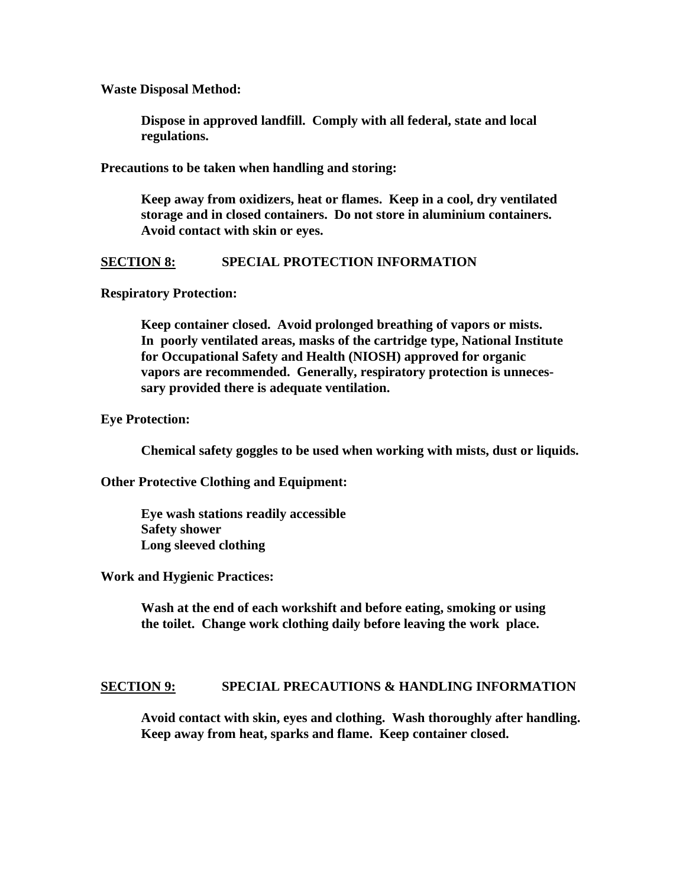**Waste Disposal Method:** 

 **Dispose in approved landfill. Comply with all federal, state and local regulations.** 

**Precautions to be taken when handling and storing:** 

 **Keep away from oxidizers, heat or flames. Keep in a cool, dry ventilated storage and in closed containers. Do not store in aluminium containers. Avoid contact with skin or eyes.** 

# **SECTION 8: SPECIAL PROTECTION INFORMATION**

#### **Respiratory Protection:**

 **Keep container closed. Avoid prolonged breathing of vapors or mists. In poorly ventilated areas, masks of the cartridge type, National Institute for Occupational Safety and Health (NIOSH) approved for organic vapors are recommended. Generally, respiratory protection is unneces sary provided there is adequate ventilation.** 

#### **Eye Protection:**

 **Chemical safety goggles to be used when working with mists, dust or liquids.** 

**Other Protective Clothing and Equipment:** 

 **Eye wash stations readily accessible Safety shower Long sleeved clothing** 

#### **Work and Hygienic Practices:**

 **Wash at the end of each workshift and before eating, smoking or using the toilet. Change work clothing daily before leaving the work place.** 

#### **SECTION 9: SPECIAL PRECAUTIONS & HANDLING INFORMATION**

 **Avoid contact with skin, eyes and clothing. Wash thoroughly after handling. Keep away from heat, sparks and flame. Keep container closed.**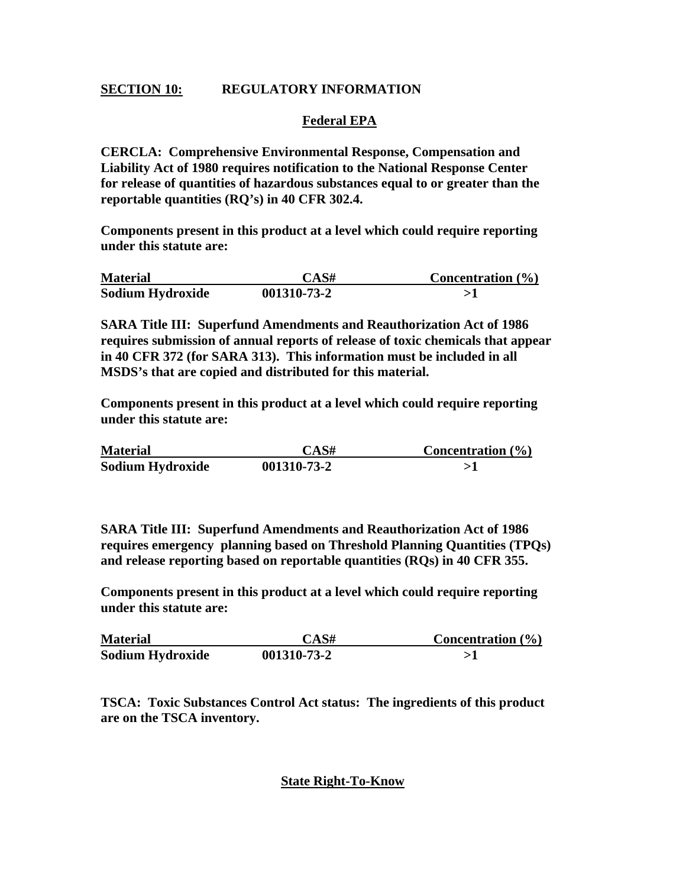# **SECTION 10: REGULATORY INFORMATION**

# **Federal EPA**

**CERCLA: Comprehensive Environmental Response, Compensation and Liability Act of 1980 requires notification to the National Response Center for release of quantities of hazardous substances equal to or greater than the reportable quantities (RQ's) in 40 CFR 302.4.** 

**Components present in this product at a level which could require reporting under this statute are:** 

| <b>Material</b>  | CAS#        | Concentration $(\% )$ |
|------------------|-------------|-----------------------|
| Sodium Hydroxide | 001310-73-2 |                       |

**SARA Title III: Superfund Amendments and Reauthorization Act of 1986 requires submission of annual reports of release of toxic chemicals that appear in 40 CFR 372 (for SARA 313). This information must be included in all MSDS's that are copied and distributed for this material.** 

**Components present in this product at a level which could require reporting under this statute are:** 

| <b>Material</b>  | CAS#        | <b>Concentration</b> $(\%)$ |
|------------------|-------------|-----------------------------|
| Sodium Hydroxide | 001310-73-2 |                             |

**SARA Title III: Superfund Amendments and Reauthorization Act of 1986 requires emergency planning based on Threshold Planning Quantities (TPQs) and release reporting based on reportable quantities (RQs) in 40 CFR 355.** 

**Components present in this product at a level which could require reporting under this statute are:** 

| <b>Material</b>  | CAS#        | Concentration $(\% )$ |
|------------------|-------------|-----------------------|
| Sodium Hydroxide | 001310-73-2 |                       |

**TSCA: Toxic Substances Control Act status: The ingredients of this product are on the TSCA inventory.** 

# **State Right-To-Know**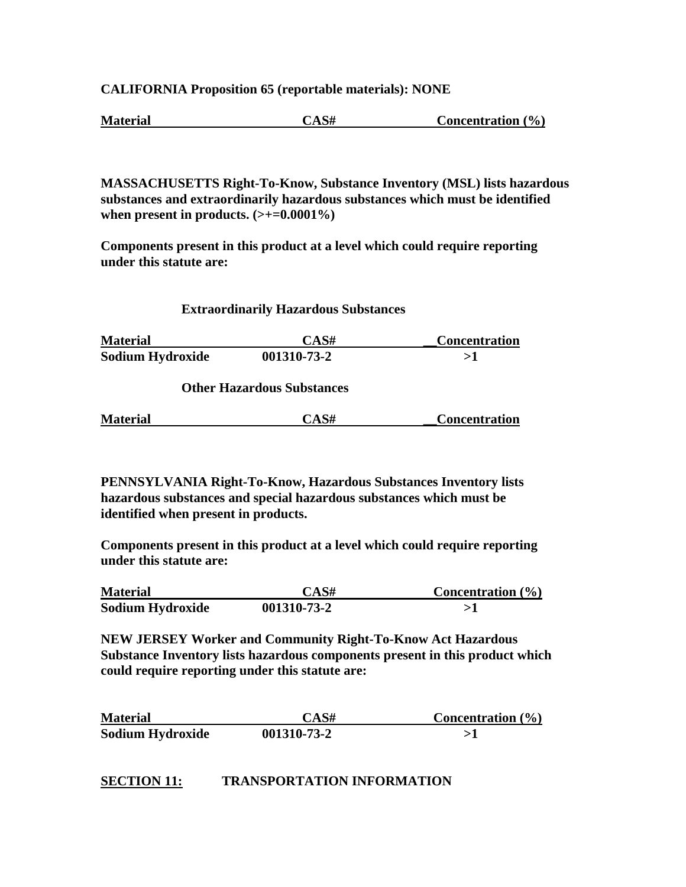**CALIFORNIA Proposition 65 (reportable materials): NONE** 

**Material CAS# Concentration (%)**

**MASSACHUSETTS Right-To-Know, Substance Inventory (MSL) lists hazardous substances and extraordinarily hazardous substances which must be identified**  when present in products.  $(\geq+0.0001\%)$ 

**Components present in this product at a level which could require reporting under this statute are:** 

#### **Extraordinarily Hazardous Substances**

Material CAS# Concentration **Sodium Hydroxide 001310-73-2 >1** 

 **Other Hazardous Substances** 

| <b>Material</b> | UAS# | Concentration |
|-----------------|------|---------------|
|                 |      |               |

**PENNSYLVANIA Right-To-Know, Hazardous Substances Inventory lists hazardous substances and special hazardous substances which must be identified when present in products.** 

**Components present in this product at a level which could require reporting under this statute are:** 

| <b>Material</b>  | CAS#        | Concentration $(\% )$ |
|------------------|-------------|-----------------------|
| Sodium Hydroxide | 001310-73-2 |                       |

**NEW JERSEY Worker and Community Right-To-Know Act Hazardous Substance Inventory lists hazardous components present in this product which could require reporting under this statute are:** 

| <b>Material</b>  | CAS#        | Concentration $(\% )$ |
|------------------|-------------|-----------------------|
| Sodium Hydroxide | 001310-73-2 |                       |

# **SECTION 11: TRANSPORTATION INFORMATION**